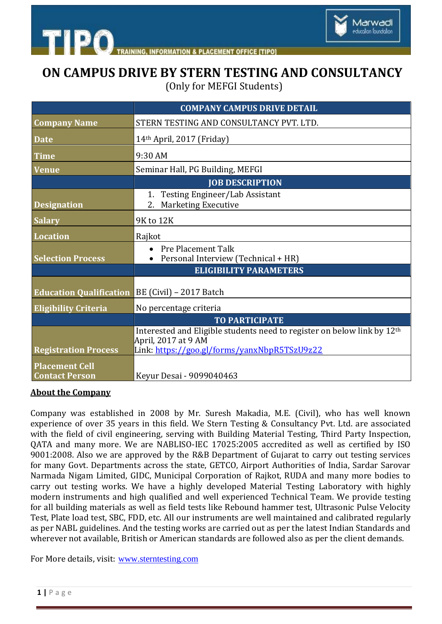

# **ON CAMPUS DRIVE BY STERN TESTING AND CONSULTANCY**

Marwadi education foundation

(Only for MEFGI Students)

|                                                | <b>COMPANY CAMPUS DRIVE DETAIL</b>                                                             |
|------------------------------------------------|------------------------------------------------------------------------------------------------|
| <b>Company Name</b>                            | STERN TESTING AND CONSULTANCY PVT. LTD.                                                        |
| <b>Date</b>                                    | 14th April, 2017 (Friday)                                                                      |
| <b>Time</b>                                    | 9:30 AM                                                                                        |
| <b>Venue</b>                                   | Seminar Hall, PG Building, MEFGI                                                               |
|                                                | <b>JOB DESCRIPTION</b>                                                                         |
| <b>Designation</b>                             | 1. Testing Engineer/Lab Assistant<br><b>Marketing Executive</b><br>2.                          |
| <b>Salary</b>                                  | 9K to 12K                                                                                      |
| <b>Location</b>                                | Rajkot                                                                                         |
| <b>Selection Process</b>                       | <b>Pre Placement Talk</b><br>Personal Interview (Technical + HR)                               |
|                                                | <b>ELIGIBILITY PARAMETERS</b>                                                                  |
| <b>Education Qualification</b>                 | BE (Civil) - 2017 Batch                                                                        |
| <b>Eligibility Criteria</b>                    | No percentage criteria                                                                         |
|                                                | <b>TO PARTICIPATE</b>                                                                          |
|                                                | Interested and Eligible students need to register on below link by 12th<br>April, 2017 at 9 AM |
| <b>Registration Process</b>                    | Link: https://goo.gl/forms/yanxNbpR5TSzU9z22                                                   |
| <b>Placement Cell</b><br><b>Contact Person</b> | Keyur Desai - 9099040463                                                                       |

#### **About the Company**

Company was established in 2008 by Mr. Suresh Makadia, M.E. (Civil), who has well known experience of over 35 years in this field. We Stern Testing & Consultancy Pvt. Ltd. are associated with the field of civil engineering, serving with Building Material Testing, Third Party Inspection, QATA and many more. We are NABLISO-IEC 17025:2005 accredited as well as certified by ISO 9001:2008. Also we are approved by the R&B Department of Gujarat to carry out testing services for many Govt. Departments across the state, GETCO, Airport Authorities of India, Sardar Sarovar Narmada Nigam Limited, GIDC, Municipal Corporation of Rajkot, RUDA and many more bodies to carry out testing works. We have a highly developed Material Testing Laboratory with highly modern instruments and high qualified and well experienced Technical Team. We provide testing for all building materials as well as field tests like Rebound hammer test, Ultrasonic Pulse Velocity Test, Plate load test, SBC, FDD, etc. All our instruments are well maintained and calibrated regularly as per NABL guidelines. And the testing works are carried out as per the latest Indian Standards and wherever not available, British or American standards are followed also as per the client demands.

For More details, visit: [www.sterntesting.com](http://www.sterntesting.com/)